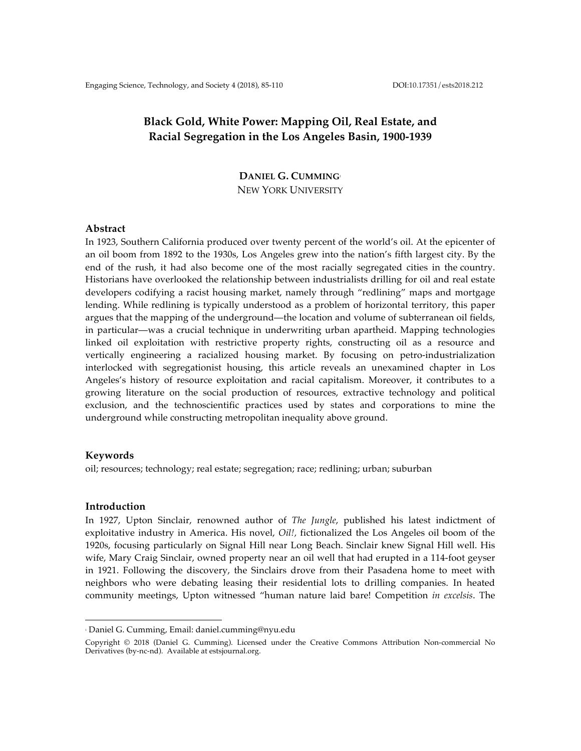# **Black Gold, White Power: Mapping Oil, Real Estate, and Racial Segregation in the Los Angeles Basin, 1900-1939**

**DANIEL G. CUMMING**<sup>1</sup> NEW YORK UNIVERSITY

## **Abstract**

In 1923, Southern California produced over twenty percent of the world's oil. At the epicenter of an oil boom from 1892 to the 1930s, Los Angeles grew into the nation's fifth largest city. By the end of the rush, it had also become one of the most racially segregated cities in the country. Historians have overlooked the relationship between industrialists drilling for oil and real estate developers codifying a racist housing market, namely through "redlining" maps and mortgage lending. While redlining is typically understood as a problem of horizontal territory, this paper argues that the mapping of the underground—the location and volume of subterranean oil fields, in particular—was a crucial technique in underwriting urban apartheid. Mapping technologies linked oil exploitation with restrictive property rights, constructing oil as a resource and vertically engineering a racialized housing market. By focusing on petro-industrialization interlocked with segregationist housing, this article reveals an unexamined chapter in Los Angeles's history of resource exploitation and racial capitalism. Moreover, it contributes to a growing literature on the social production of resources, extractive technology and political exclusion, and the technoscientific practices used by states and corporations to mine the underground while constructing metropolitan inequality above ground.

## **Keywords**

oil; resources; technology; real estate; segregation; race; redlining; urban; suburban

# **Introduction**

In 1927, Upton Sinclair, renowned author of *The Jungle*, published his latest indictment of exploitative industry in America. His novel, *Oil!,* fictionalized the Los Angeles oil boom of the 1920s, focusing particularly on Signal Hill near Long Beach. Sinclair knew Signal Hill well. His wife, Mary Craig Sinclair, owned property near an oil well that had erupted in a 114-foot geyser in 1921. Following the discovery, the Sinclairs drove from their Pasadena home to meet with neighbors who were debating leasing their residential lots to drilling companies. In heated community meetings, Upton witnessed "human nature laid bare! Competition *in excelsis*. The

 

<sup>1</sup> Daniel G. Cumming, Email: daniel.cumming@nyu.edu

Copyright © 2018 (Daniel G. Cumming). Licensed under the Creative Commons Attribution Non-commercial No Derivatives (by-nc-nd). Available at estsjournal.org.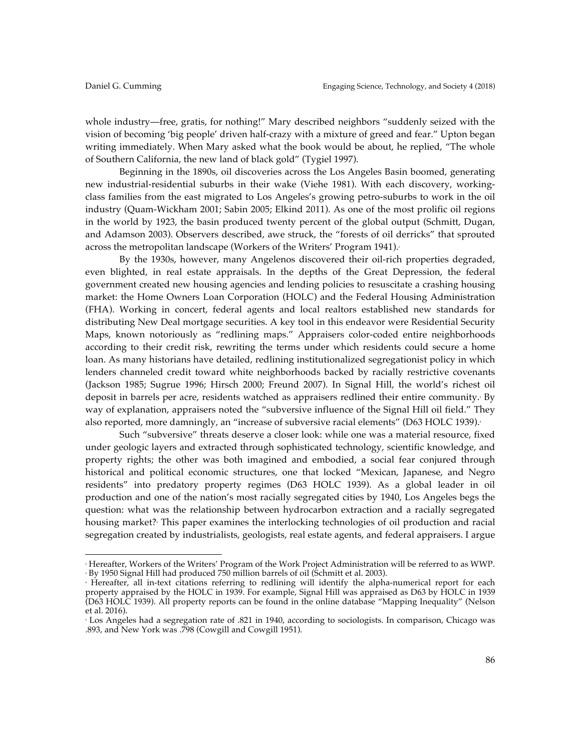whole industry—free, gratis, for nothing!" Mary described neighbors "suddenly seized with the vision of becoming 'big people' driven half-crazy with a mixture of greed and fear." Upton began writing immediately. When Mary asked what the book would be about, he replied, "The whole of Southern California, the new land of black gold" (Tygiel 1997).

Beginning in the 1890s, oil discoveries across the Los Angeles Basin boomed, generating new industrial-residential suburbs in their wake (Viehe 1981). With each discovery, workingclass families from the east migrated to Los Angeles's growing petro-suburbs to work in the oil industry (Quam-Wickham 2001; Sabin 2005; Elkind 2011). As one of the most prolific oil regions in the world by 1923, the basin produced twenty percent of the global output (Schmitt, Dugan, and Adamson 2003). Observers described, awe struck, the "forests of oil derricks" that sprouted across the metropolitan landscape (Workers of the Writers' Program 1941).

By the 1930s, however, many Angelenos discovered their oil-rich properties degraded, even blighted, in real estate appraisals. In the depths of the Great Depression, the federal government created new housing agencies and lending policies to resuscitate a crashing housing market: the Home Owners Loan Corporation (HOLC) and the Federal Housing Administration (FHA). Working in concert, federal agents and local realtors established new standards for distributing New Deal mortgage securities. A key tool in this endeavor were Residential Security Maps, known notoriously as "redlining maps." Appraisers color-coded entire neighborhoods according to their credit risk, rewriting the terms under which residents could secure a home loan. As many historians have detailed, redlining institutionalized segregationist policy in which lenders channeled credit toward white neighborhoods backed by racially restrictive covenants (Jackson 1985; Sugrue 1996; Hirsch 2000; Freund 2007). In Signal Hill, the world's richest oil deposit in barrels per acre, residents watched as appraisers redlined their entire community. By way of explanation, appraisers noted the "subversive influence of the Signal Hill oil field." They also reported, more damningly, an "increase of subversive racial elements" (D63 HOLC 1939).

Such "subversive" threats deserve a closer look: while one was a material resource, fixed under geologic layers and extracted through sophisticated technology, scientific knowledge, and property rights; the other was both imagined and embodied, a social fear conjured through historical and political economic structures, one that locked "Mexican, Japanese, and Negro residents" into predatory property regimes (D63 HOLC 1939). As a global leader in oil production and one of the nation's most racially segregated cities by 1940, Los Angeles begs the question: what was the relationship between hydrocarbon extraction and a racially segregated housing market? This paper examines the interlocking technologies of oil production and racial segregation created by industrialists, geologists, real estate agents, and federal appraisers. I argue

<sup>2</sup> Hereafter, Workers of the Writers' Program of the Work Project Administration will be referred to as WWP. <sup>3</sup> By 1950 Signal Hill had produced 750 million barrels of oil (Schmitt et al. 2003).

<sup>4</sup> Hereafter, all in-text citations referring to redlining will identify the alpha-numerical report for each property appraised by the HOLC in 1939. For example, Signal Hill was appraised as D63 by HOLC in 1939 (D63 HOLC 1939). All property reports can be found in the online database "Mapping Inequality" (Nelson et al. 2016).

<sup>5</sup> Los Angeles had a segregation rate of .821 in 1940, according to sociologists. In comparison, Chicago was .893, and New York was .798 (Cowgill and Cowgill 1951).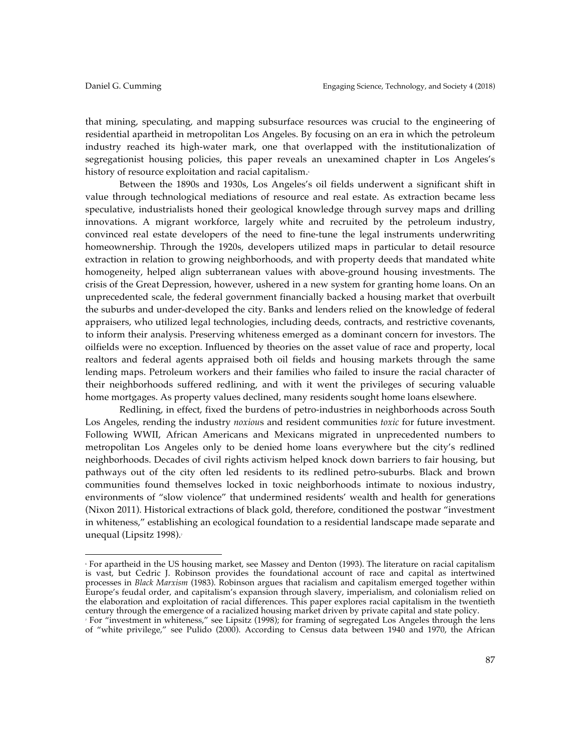that mining, speculating, and mapping subsurface resources was crucial to the engineering of residential apartheid in metropolitan Los Angeles. By focusing on an era in which the petroleum industry reached its high-water mark, one that overlapped with the institutionalization of segregationist housing policies, this paper reveals an unexamined chapter in Los Angeles's history of resource exploitation and racial capitalism.<sup>6</sup>

Between the 1890s and 1930s, Los Angeles's oil fields underwent a significant shift in value through technological mediations of resource and real estate. As extraction became less speculative, industrialists honed their geological knowledge through survey maps and drilling innovations. A migrant workforce, largely white and recruited by the petroleum industry, convinced real estate developers of the need to fine-tune the legal instruments underwriting homeownership. Through the 1920s, developers utilized maps in particular to detail resource extraction in relation to growing neighborhoods, and with property deeds that mandated white homogeneity, helped align subterranean values with above-ground housing investments. The crisis of the Great Depression, however, ushered in a new system for granting home loans. On an unprecedented scale, the federal government financially backed a housing market that overbuilt the suburbs and under-developed the city. Banks and lenders relied on the knowledge of federal appraisers, who utilized legal technologies, including deeds, contracts, and restrictive covenants, to inform their analysis. Preserving whiteness emerged as a dominant concern for investors. The oilfields were no exception. Influenced by theories on the asset value of race and property, local realtors and federal agents appraised both oil fields and housing markets through the same lending maps. Petroleum workers and their families who failed to insure the racial character of their neighborhoods suffered redlining, and with it went the privileges of securing valuable home mortgages. As property values declined, many residents sought home loans elsewhere.

Redlining, in effect, fixed the burdens of petro-industries in neighborhoods across South Los Angeles, rending the industry *noxiou*s and resident communities *toxic* for future investment. Following WWII, African Americans and Mexicans migrated in unprecedented numbers to metropolitan Los Angeles only to be denied home loans everywhere but the city's redlined neighborhoods. Decades of civil rights activism helped knock down barriers to fair housing, but pathways out of the city often led residents to its redlined petro-suburbs. Black and brown communities found themselves locked in toxic neighborhoods intimate to noxious industry, environments of "slow violence" that undermined residents' wealth and health for generations (Nixon 2011). Historical extractions of black gold, therefore, conditioned the postwar "investment in whiteness," establishing an ecological foundation to a residential landscape made separate and unequal (Lipsitz 1998).<sup>7</sup>

<sup>6</sup> For apartheid in the US housing market, see Massey and Denton (1993). The literature on racial capitalism is vast, but Cedric J. Robinson provides the foundational account of race and capital as intertwined processes in *Black Marxism* (1983). Robinson argues that racialism and capitalism emerged together within Europe's feudal order, and capitalism's expansion through slavery, imperialism, and colonialism relied on the elaboration and exploitation of racial differences. This paper explores racial capitalism in the twentieth century through the emergence of a racialized housing market driven by private capital and state policy.

<sup>7</sup> For "investment in whiteness," see Lipsitz (1998); for framing of segregated Los Angeles through the lens of "white privilege," see Pulido (2000). According to Census data between 1940 and 1970, the African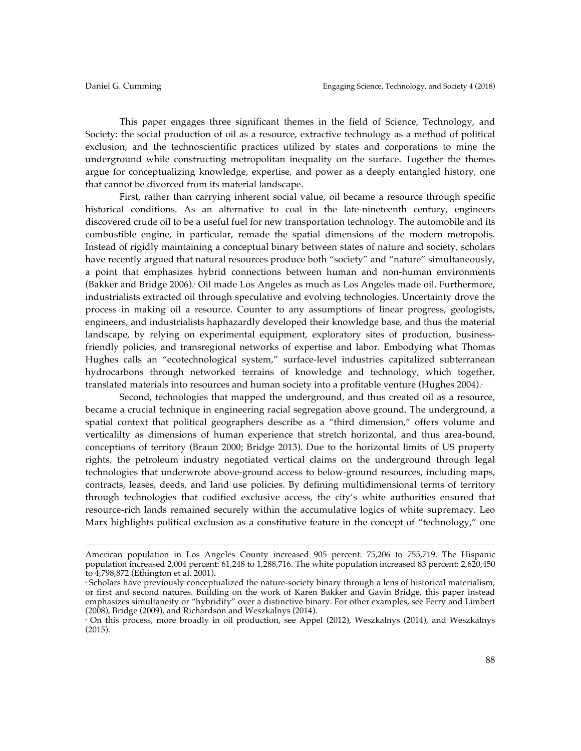This paper engages three significant themes in the field of Science, Technology, and Society: the social production of oil as a resource, extractive technology as a method of political exclusion, and the technoscientific practices utilized by states and corporations to mine the underground while constructing metropolitan inequality on the surface. Together the themes argue for conceptualizing knowledge, expertise, and power as a deeply entangled history, one that cannot be divorced from its material landscape.

First, rather than carrying inherent social value, oil became a resource through specific historical conditions. As an alternative to coal in the late-nineteenth century, engineers discovered crude oil to be a useful fuel for new transportation technology. The automobile and its combustible engine, in particular, remade the spatial dimensions of the modern metropolis. Instead of rigidly maintaining a conceptual binary between states of nature and society, scholars have recently argued that natural resources produce both "society" and "nature" simultaneously, a point that emphasizes hybrid connections between human and non-human environments  $(Bakker and Bridge 2006)$ . Oil made Los Angeles as much as Los Angeles made oil. Furthermore, industrialists extracted oil through speculative and evolving technologies. Uncertainty drove the process in making oil a resource. Counter to any assumptions of linear progress, geologists, engineers, and industrialists haphazardly developed their knowledge base, and thus the material landscape, by relying on experimental equipment, exploratory sites of production, businessfriendly policies, and transregional networks of expertise and labor. Embodying what Thomas Hughes calls an "ecotechnological system," surface-level industries capitalized subterranean hydrocarbons through networked terrains of knowledge and technology, which together, translated materials into resources and human society into a profitable venture (Hughes 2004).

Second, technologies that mapped the underground, and thus created oil as a resource, became a crucial technique in engineering racial segregation above ground. The underground, a spatial context that political geographers describe as a "third dimension," offers volume and verticalilty as dimensions of human experience that stretch horizontal, and thus area-bound, conceptions of territory (Braun 2000; Bridge 2013). Due to the horizontal limits of US property rights, the petroleum industry negotiated vertical claims on the underground through legal technologies that underwrote above-ground access to below-ground resources, including maps, contracts, leases, deeds, and land use policies. By defining multidimensional terms of territory through technologies that codified exclusive access, the city's white authorities ensured that resource-rich lands remained securely within the accumulative logics of white supremacy. Leo Marx highlights political exclusion as a constitutive feature in the concept of "technology," one

<u> 1989 - Andrea San Andrew Maria (h. 1989).</u><br>1900 - Andrew Maria (h. 1980).

American population in Los Angeles County increased 905 percent: 75,206 to 755,719. The Hispanic population increased 2,004 percent: 61,248 to 1,288,716. The white population increased 83 percent: 2,620,450 to 4,798,872 (Ethington et al. 2001).

<sup>8</sup> Scholars have previously conceptualized the nature-society binary through a lens of historical materialism, or first and second natures. Building on the work of Karen Bakker and Gavin Bridge, this paper instead emphasizes simultaneity or "hybridity" over a distinctive binary. For other examples, see Ferry and Limbert (2008), Bridge (2009), and Richardson and Weszkalnys (2014).

<sup>9</sup> On this process, more broadly in oil production, see Appel (2012), Weszkalnys (2014), and Weszkalnys (2015).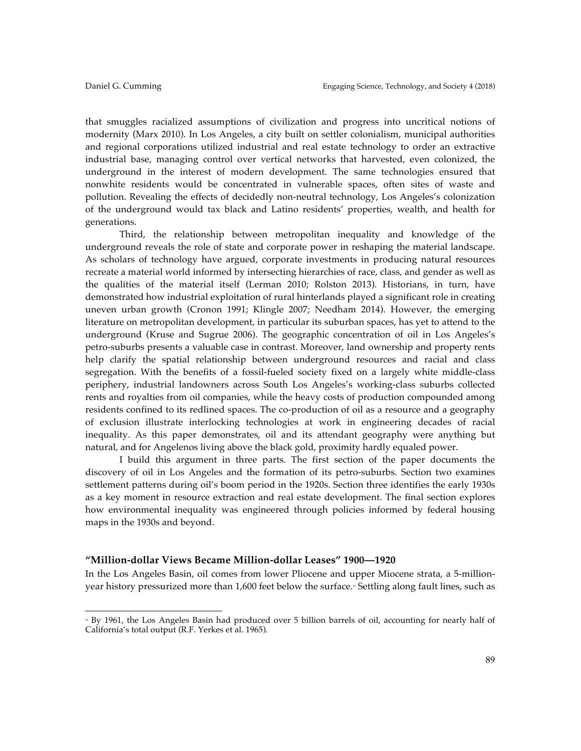that smuggles racialized assumptions of civilization and progress into uncritical notions of modernity (Marx 2010). In Los Angeles, a city built on settler colonialism, municipal authorities and regional corporations utilized industrial and real estate technology to order an extractive industrial base, managing control over vertical networks that harvested, even colonized, the underground in the interest of modern development. The same technologies ensured that nonwhite residents would be concentrated in vulnerable spaces, often sites of waste and pollution. Revealing the effects of decidedly non-neutral technology, Los Angeles's colonization of the underground would tax black and Latino residents' properties, wealth, and health for generations.

Third, the relationship between metropolitan inequality and knowledge of the underground reveals the role of state and corporate power in reshaping the material landscape. As scholars of technology have argued, corporate investments in producing natural resources recreate a material world informed by intersecting hierarchies of race, class, and gender as well as the qualities of the material itself (Lerman 2010; Rolston 2013). Historians, in turn, have demonstrated how industrial exploitation of rural hinterlands played a significant role in creating uneven urban growth (Cronon 1991; Klingle 2007; Needham 2014). However, the emerging literature on metropolitan development, in particular its suburban spaces, has yet to attend to the underground (Kruse and Sugrue 2006). The geographic concentration of oil in Los Angeles's petro-suburbs presents a valuable case in contrast. Moreover, land ownership and property rents help clarify the spatial relationship between underground resources and racial and class segregation. With the benefits of a fossil-fueled society fixed on a largely white middle-class periphery, industrial landowners across South Los Angeles's working-class suburbs collected rents and royalties from oil companies, while the heavy costs of production compounded among residents confined to its redlined spaces. The co-production of oil as a resource and a geography of exclusion illustrate interlocking technologies at work in engineering decades of racial inequality. As this paper demonstrates, oil and its attendant geography were anything but natural, and for Angelenos living above the black gold, proximity hardly equaled power.

I build this argument in three parts. The first section of the paper documents the discovery of oil in Los Angeles and the formation of its petro-suburbs. Section two examines settlement patterns during oil's boom period in the 1920s. Section three identifies the early 1930s as a key moment in resource extraction and real estate development. The final section explores how environmental inequality was engineered through policies informed by federal housing maps in the 1930s and beyond.

## **"Million-dollar Views Became Million-dollar Leases" 1900—1920**

 

In the Los Angeles Basin, oil comes from lower Pliocene and upper Miocene strata, a 5-millionyear history pressurized more than 1,600 feet below the surface.<sup>®</sup> Settling along fault lines, such as

<sup>10</sup> By 1961, the Los Angeles Basin had produced over 5 billion barrels of oil, accounting for nearly half of California's total output (R.F. Yerkes et al. 1965).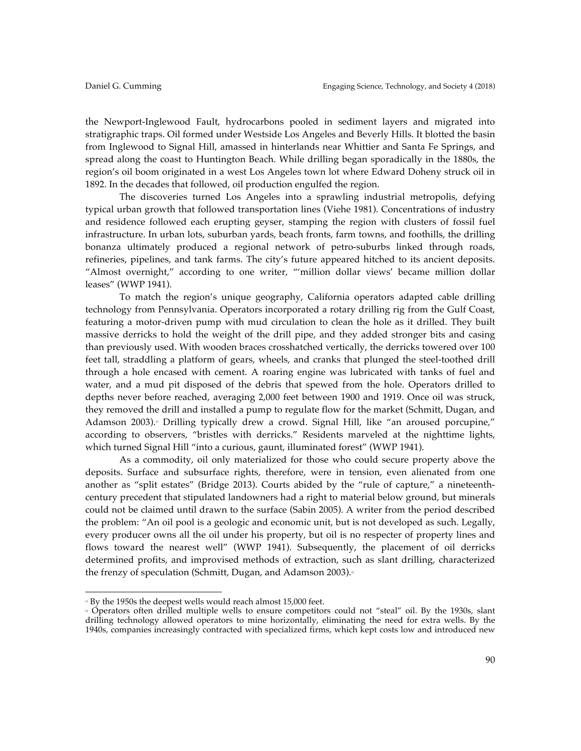the Newport-Inglewood Fault, hydrocarbons pooled in sediment layers and migrated into stratigraphic traps. Oil formed under Westside Los Angeles and Beverly Hills. It blotted the basin from Inglewood to Signal Hill, amassed in hinterlands near Whittier and Santa Fe Springs, and spread along the coast to Huntington Beach. While drilling began sporadically in the 1880s, the region's oil boom originated in a west Los Angeles town lot where Edward Doheny struck oil in 1892. In the decades that followed, oil production engulfed the region.

The discoveries turned Los Angeles into a sprawling industrial metropolis, defying typical urban growth that followed transportation lines (Viehe 1981). Concentrations of industry and residence followed each erupting geyser, stamping the region with clusters of fossil fuel infrastructure. In urban lots, suburban yards, beach fronts, farm towns, and foothills, the drilling bonanza ultimately produced a regional network of petro-suburbs linked through roads, refineries, pipelines, and tank farms. The city's future appeared hitched to its ancient deposits. "Almost overnight," according to one writer, "'million dollar views' became million dollar leases" (WWP 1941).

To match the region's unique geography, California operators adapted cable drilling technology from Pennsylvania. Operators incorporated a rotary drilling rig from the Gulf Coast, featuring a motor-driven pump with mud circulation to clean the hole as it drilled. They built massive derricks to hold the weight of the drill pipe, and they added stronger bits and casing than previously used. With wooden braces crosshatched vertically, the derricks towered over 100 feet tall, straddling a platform of gears, wheels, and cranks that plunged the steel-toothed drill through a hole encased with cement. A roaring engine was lubricated with tanks of fuel and water, and a mud pit disposed of the debris that spewed from the hole. Operators drilled to depths never before reached, averaging 2,000 feet between 1900 and 1919. Once oil was struck, they removed the drill and installed a pump to regulate flow for the market (Schmitt, Dugan, and Adamson 2003).<sup>11</sup> Drilling typically drew a crowd. Signal Hill, like "an aroused porcupine," according to observers, "bristles with derricks." Residents marveled at the nighttime lights, which turned Signal Hill "into a curious, gaunt, illuminated forest" (WWP 1941).

As a commodity, oil only materialized for those who could secure property above the deposits. Surface and subsurface rights, therefore, were in tension, even alienated from one another as "split estates" (Bridge 2013). Courts abided by the "rule of capture," a nineteenthcentury precedent that stipulated landowners had a right to material below ground, but minerals could not be claimed until drawn to the surface (Sabin 2005). A writer from the period described the problem: "An oil pool is a geologic and economic unit, but is not developed as such. Legally, every producer owns all the oil under his property, but oil is no respecter of property lines and flows toward the nearest well" (WWP 1941). Subsequently, the placement of oil derricks determined profits, and improvised methods of extraction, such as slant drilling, characterized the frenzy of speculation (Schmitt, Dugan, and Adamson 2003).<sup>21</sup>

 

<sup>&</sup>lt;sup>11</sup> By the 1950s the deepest wells would reach almost 15,000 feet.

<sup>12</sup> Operators often drilled multiple wells to ensure competitors could not "steal" oil. By the 1930s, slant drilling technology allowed operators to mine horizontally, eliminating the need for extra wells. By the 1940s, companies increasingly contracted with specialized firms, which kept costs low and introduced new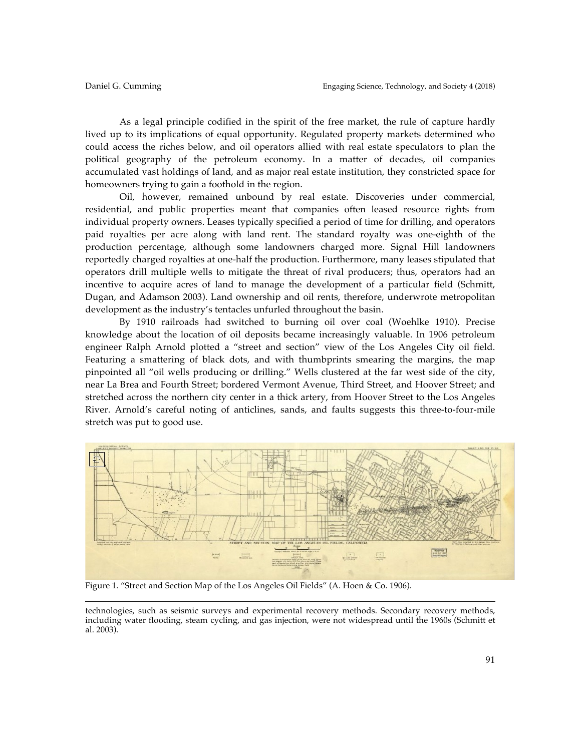As a legal principle codified in the spirit of the free market, the rule of capture hardly lived up to its implications of equal opportunity. Regulated property markets determined who could access the riches below, and oil operators allied with real estate speculators to plan the political geography of the petroleum economy. In a matter of decades, oil companies accumulated vast holdings of land, and as major real estate institution, they constricted space for homeowners trying to gain a foothold in the region.

Oil, however, remained unbound by real estate. Discoveries under commercial, residential, and public properties meant that companies often leased resource rights from individual property owners. Leases typically specified a period of time for drilling, and operators paid royalties per acre along with land rent. The standard royalty was one-eighth of the production percentage, although some landowners charged more. Signal Hill landowners reportedly charged royalties at one-half the production. Furthermore, many leases stipulated that operators drill multiple wells to mitigate the threat of rival producers; thus, operators had an incentive to acquire acres of land to manage the development of a particular field (Schmitt, Dugan, and Adamson 2003). Land ownership and oil rents, therefore, underwrote metropolitan development as the industry's tentacles unfurled throughout the basin.

By 1910 railroads had switched to burning oil over coal (Woehlke 1910). Precise knowledge about the location of oil deposits became increasingly valuable. In 1906 petroleum engineer Ralph Arnold plotted a "street and section" view of the Los Angeles City oil field. Featuring a smattering of black dots, and with thumbprints smearing the margins, the map pinpointed all "oil wells producing or drilling." Wells clustered at the far west side of the city, near La Brea and Fourth Street; bordered Vermont Avenue, Third Street, and Hoover Street; and stretched across the northern city center in a thick artery, from Hoover Street to the Los Angeles River. Arnold's careful noting of anticlines, sands, and faults suggests this three-to-four-mile stretch was put to good use.



Figure 1. "Street and Section Map of the Los Angeles Oil Fields" (A. Hoen & Co. 1906).

<u> 1989 - Andrea San Andrew Maria (h. 1989).</u><br>1900 - Andrew Maria (h. 1980).

technologies, such as seismic surveys and experimental recovery methods. Secondary recovery methods, including water flooding, steam cycling, and gas injection, were not widespread until the 1960s (Schmitt et al. 2003).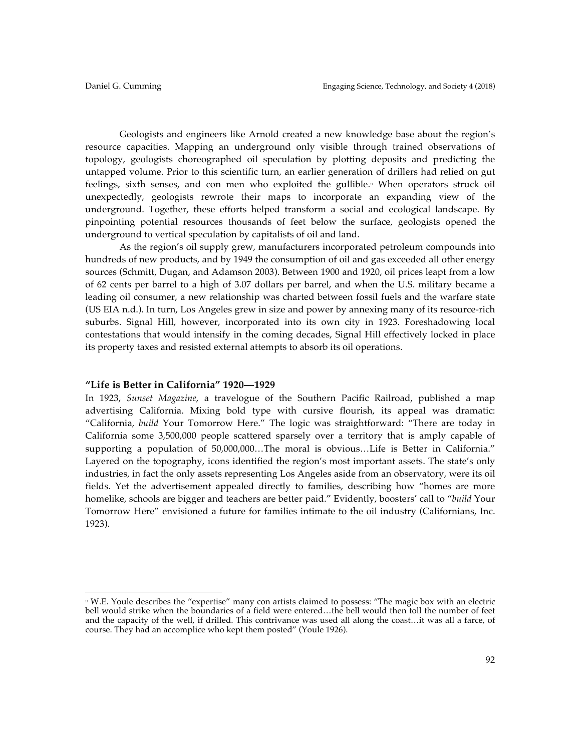Geologists and engineers like Arnold created a new knowledge base about the region's resource capacities. Mapping an underground only visible through trained observations of topology, geologists choreographed oil speculation by plotting deposits and predicting the untapped volume. Prior to this scientific turn, an earlier generation of drillers had relied on gut feelings, sixth senses, and con men who exploited the gullible.<sup>3</sup> When operators struck oil unexpectedly, geologists rewrote their maps to incorporate an expanding view of the underground. Together, these efforts helped transform a social and ecological landscape. By pinpointing potential resources thousands of feet below the surface, geologists opened the underground to vertical speculation by capitalists of oil and land.

As the region's oil supply grew, manufacturers incorporated petroleum compounds into hundreds of new products, and by 1949 the consumption of oil and gas exceeded all other energy sources (Schmitt, Dugan, and Adamson 2003). Between 1900 and 1920, oil prices leapt from a low of 62 cents per barrel to a high of 3.07 dollars per barrel, and when the U.S. military became a leading oil consumer, a new relationship was charted between fossil fuels and the warfare state (US EIA n.d.). In turn, Los Angeles grew in size and power by annexing many of its resource-rich suburbs. Signal Hill, however, incorporated into its own city in 1923. Foreshadowing local contestations that would intensify in the coming decades, Signal Hill effectively locked in place its property taxes and resisted external attempts to absorb its oil operations.

## **"Life is Better in California" 1920—1929**

 

In 1923, *Sunset Magazine*, a travelogue of the Southern Pacific Railroad, published a map advertising California. Mixing bold type with cursive flourish, its appeal was dramatic: "California, *build* Your Tomorrow Here." The logic was straightforward: "There are today in California some 3,500,000 people scattered sparsely over a territory that is amply capable of supporting a population of 50,000,000…The moral is obvious…Life is Better in California." Layered on the topography, icons identified the region's most important assets. The state's only industries, in fact the only assets representing Los Angeles aside from an observatory, were its oil fields. Yet the advertisement appealed directly to families, describing how "homes are more homelike, schools are bigger and teachers are better paid." Evidently, boosters' call to "*build* Your Tomorrow Here" envisioned a future for families intimate to the oil industry (Californians, Inc. 1923).

<sup>&</sup>lt;sup>13</sup> W.E. Youle describes the "expertise" many con artists claimed to possess: "The magic box with an electric bell would strike when the boundaries of a field were entered…the bell would then toll the number of feet and the capacity of the well, if drilled. This contrivance was used all along the coast…it was all a farce, of course. They had an accomplice who kept them posted" (Youle 1926).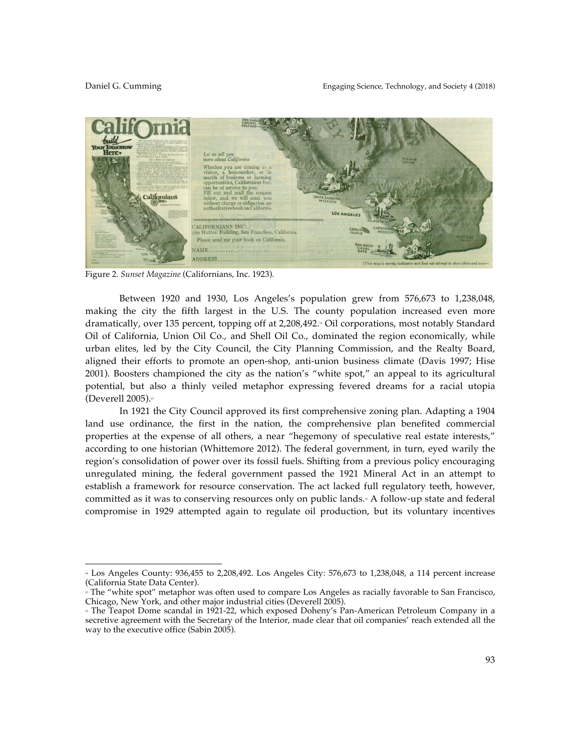

Figure 2. *Sunset Magazine* (Californians, Inc. 1923).

Between 1920 and 1930, Los Angeles's population grew from 576,673 to 1,238,048, making the city the fifth largest in the U.S. The county population increased even more dramatically, over 135 percent, topping off at 2,208,492.<sup>4</sup> Oil corporations, most notably Standard Oil of California, Union Oil Co., and Shell Oil Co., dominated the region economically, while urban elites, led by the City Council, the City Planning Commission, and the Realty Board, aligned their efforts to promote an open-shop, anti-union business climate (Davis 1997; Hise 2001). Boosters championed the city as the nation's "white spot," an appeal to its agricultural potential, but also a thinly veiled metaphor expressing fevered dreams for a racial utopia (Deverell  $2005$ ).<sup>15</sup>

In 1921 the City Council approved its first comprehensive zoning plan. Adapting a 1904 land use ordinance, the first in the nation, the comprehensive plan benefited commercial properties at the expense of all others, a near "hegemony of speculative real estate interests," according to one historian (Whittemore 2012). The federal government, in turn, eyed warily the region's consolidation of power over its fossil fuels. Shifting from a previous policy encouraging unregulated mining, the federal government passed the 1921 Mineral Act in an attempt to establish a framework for resource conservation. The act lacked full regulatory teeth, however, committed as it was to conserving resources only on public lands.<sup>4</sup> A follow-up state and federal compromise in 1929 attempted again to regulate oil production, but its voluntary incentives

<sup>14</sup> Los Angeles County: 936,455 to 2,208,492. Los Angeles City: 576,673 to 1,238,048, a 114 percent increase (California State Data Center).

<sup>&</sup>lt;sup>15</sup> The "white spot" metaphor was often used to compare Los Angeles as racially favorable to San Francisco, Chicago, New York, and other major industrial cities (Deverell 2005).

<sup>16</sup> The Teapot Dome scandal in 1921-22, which exposed Doheny's Pan-American Petroleum Company in a secretive agreement with the Secretary of the Interior, made clear that oil companies' reach extended all the way to the executive office (Sabin 2005).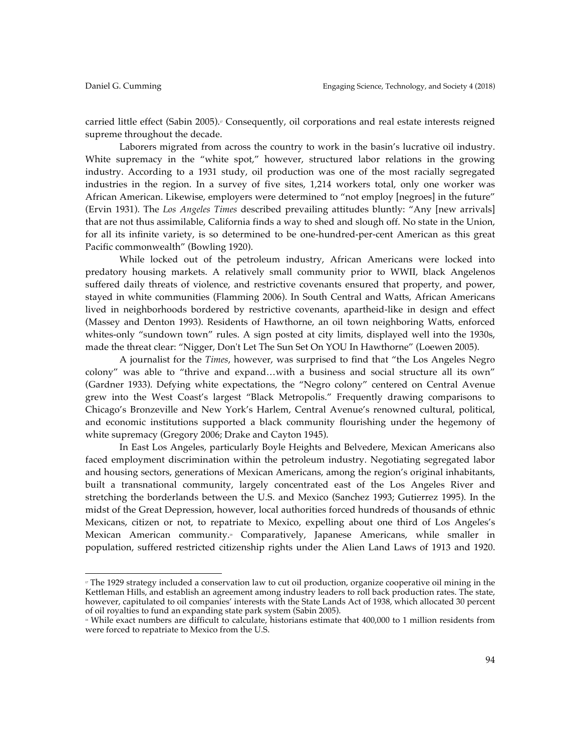carried little effect (Sabin 2005).<sup> $\sigma$ </sup> Consequently, oil corporations and real estate interests reigned supreme throughout the decade.

Laborers migrated from across the country to work in the basin's lucrative oil industry. White supremacy in the "white spot," however, structured labor relations in the growing industry. According to a 1931 study, oil production was one of the most racially segregated industries in the region. In a survey of five sites, 1,214 workers total, only one worker was African American. Likewise, employers were determined to "not employ [negroes] in the future" (Ervin 1931). The *Los Angeles Times* described prevailing attitudes bluntly: "Any [new arrivals] that are not thus assimilable, California finds a way to shed and slough off. No state in the Union, for all its infinite variety, is so determined to be one-hundred-per-cent American as this great Pacific commonwealth" (Bowling 1920).

While locked out of the petroleum industry, African Americans were locked into predatory housing markets. A relatively small community prior to WWII, black Angelenos suffered daily threats of violence, and restrictive covenants ensured that property, and power, stayed in white communities (Flamming 2006). In South Central and Watts, African Americans lived in neighborhoods bordered by restrictive covenants, apartheid-like in design and effect (Massey and Denton 1993). Residents of Hawthorne, an oil town neighboring Watts, enforced whites-only "sundown town" rules. A sign posted at city limits, displayed well into the 1930s, made the threat clear: "Nigger, Don't Let The Sun Set On YOU In Hawthorne" (Loewen 2005).

A journalist for the *Times*, however, was surprised to find that "the Los Angeles Negro colony" was able to "thrive and expand…with a business and social structure all its own" (Gardner 1933). Defying white expectations, the "Negro colony" centered on Central Avenue grew into the West Coast's largest "Black Metropolis." Frequently drawing comparisons to Chicago's Bronzeville and New York's Harlem, Central Avenue's renowned cultural, political, and economic institutions supported a black community flourishing under the hegemony of white supremacy (Gregory 2006; Drake and Cayton 1945).

In East Los Angeles, particularly Boyle Heights and Belvedere, Mexican Americans also faced employment discrimination within the petroleum industry. Negotiating segregated labor and housing sectors, generations of Mexican Americans, among the region's original inhabitants, built a transnational community, largely concentrated east of the Los Angeles River and stretching the borderlands between the U.S. and Mexico (Sanchez 1993; Gutierrez 1995). In the midst of the Great Depression, however, local authorities forced hundreds of thousands of ethnic Mexicans, citizen or not, to repatriate to Mexico, expelling about one third of Los Angeles's Mexican American community.<sup>®</sup> Comparatively, Japanese Americans, while smaller in population, suffered restricted citizenship rights under the Alien Land Laws of 1913 and 1920.

<sup>17</sup> The 1929 strategy included a conservation law to cut oil production, organize cooperative oil mining in the Kettleman Hills, and establish an agreement among industry leaders to roll back production rates. The state, however, capitulated to oil companies' interests with the State Lands Act of 1938, which allocated 30 percent of oil royalties to fund an expanding state park system (Sabin 2005).

<sup>18</sup> While exact numbers are difficult to calculate, historians estimate that 400,000 to 1 million residents from were forced to repatriate to Mexico from the U.S.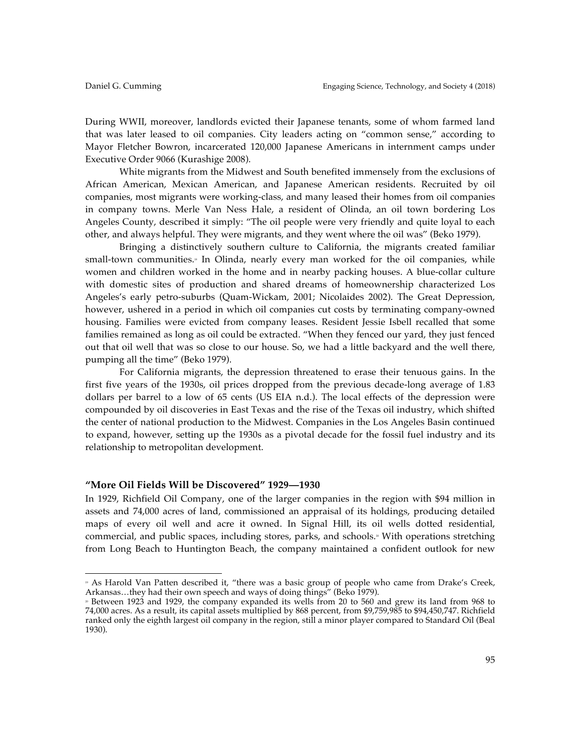During WWII, moreover, landlords evicted their Japanese tenants, some of whom farmed land that was later leased to oil companies. City leaders acting on "common sense," according to Mayor Fletcher Bowron, incarcerated 120,000 Japanese Americans in internment camps under Executive Order 9066 (Kurashige 2008).

White migrants from the Midwest and South benefited immensely from the exclusions of African American, Mexican American, and Japanese American residents. Recruited by oil companies, most migrants were working-class, and many leased their homes from oil companies in company towns. Merle Van Ness Hale, a resident of Olinda, an oil town bordering Los Angeles County, described it simply: "The oil people were very friendly and quite loyal to each other, and always helpful. They were migrants, and they went where the oil was" (Beko 1979).

Bringing a distinctively southern culture to California, the migrants created familiar small-town communities.<sup>9</sup> In Olinda, nearly every man worked for the oil companies, while women and children worked in the home and in nearby packing houses. A blue-collar culture with domestic sites of production and shared dreams of homeownership characterized Los Angeles's early petro-suburbs (Quam-Wickam, 2001; Nicolaides 2002). The Great Depression, however, ushered in a period in which oil companies cut costs by terminating company-owned housing. Families were evicted from company leases. Resident Jessie Isbell recalled that some families remained as long as oil could be extracted. "When they fenced our yard, they just fenced out that oil well that was so close to our house. So, we had a little backyard and the well there, pumping all the time" (Beko 1979).

For California migrants, the depression threatened to erase their tenuous gains. In the first five years of the 1930s, oil prices dropped from the previous decade-long average of 1.83 dollars per barrel to a low of 65 cents (US EIA n.d.). The local effects of the depression were compounded by oil discoveries in East Texas and the rise of the Texas oil industry, which shifted the center of national production to the Midwest. Companies in the Los Angeles Basin continued to expand, however, setting up the 1930s as a pivotal decade for the fossil fuel industry and its relationship to metropolitan development.

# **"More Oil Fields Will be Discovered" 1929—1930**

 

In 1929, Richfield Oil Company, one of the larger companies in the region with \$94 million in assets and 74,000 acres of land, commissioned an appraisal of its holdings, producing detailed maps of every oil well and acre it owned. In Signal Hill, its oil wells dotted residential, commercial, and public spaces, including stores, parks, and schools.<sup>30</sup> With operations stretching from Long Beach to Huntington Beach, the company maintained a confident outlook for new

<sup>19</sup> As Harold Van Patten described it, "there was a basic group of people who came from Drake's Creek, Arkansas…they had their own speech and ways of doing things" (Beko 1979).

<sup>20</sup> Between 1923 and 1929, the company expanded its wells from 20 to 560 and grew its land from 968 to 74,000 acres. As a result, its capital assets multiplied by 868 percent, from \$9,759,985 to \$94,450,747. Richfield ranked only the eighth largest oil company in the region, still a minor player compared to Standard Oil (Beal 1930).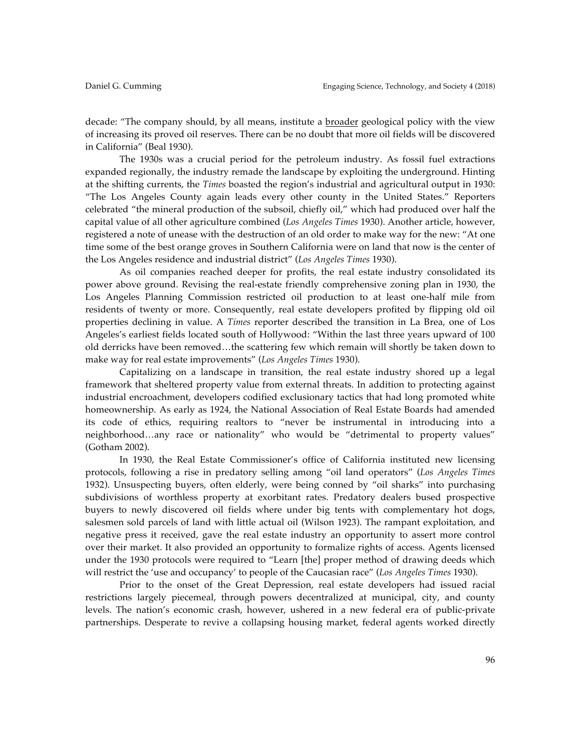decade: "The company should, by all means, institute a broader geological policy with the view of increasing its proved oil reserves. There can be no doubt that more oil fields will be discovered in California" (Beal 1930).

The 1930s was a crucial period for the petroleum industry. As fossil fuel extractions expanded regionally, the industry remade the landscape by exploiting the underground. Hinting at the shifting currents, the *Times* boasted the region's industrial and agricultural output in 1930: "The Los Angeles County again leads every other county in the United States." Reporters celebrated "the mineral production of the subsoil, chiefly oil," which had produced over half the capital value of all other agriculture combined (*Los Angeles Times* 1930). Another article, however, registered a note of unease with the destruction of an old order to make way for the new: "At one time some of the best orange groves in Southern California were on land that now is the center of the Los Angeles residence and industrial district" (*Los Angeles Times* 1930).

As oil companies reached deeper for profits, the real estate industry consolidated its power above ground. Revising the real-estate friendly comprehensive zoning plan in 1930, the Los Angeles Planning Commission restricted oil production to at least one-half mile from residents of twenty or more. Consequently, real estate developers profited by flipping old oil properties declining in value. A *Times* reporter described the transition in La Brea, one of Los Angeles's earliest fields located south of Hollywood: "Within the last three years upward of 100 old derricks have been removed…the scattering few which remain will shortly be taken down to make way for real estate improvements" (*Los Angeles Times* 1930).

Capitalizing on a landscape in transition, the real estate industry shored up a legal framework that sheltered property value from external threats. In addition to protecting against industrial encroachment, developers codified exclusionary tactics that had long promoted white homeownership. As early as 1924, the National Association of Real Estate Boards had amended its code of ethics, requiring realtors to "never be instrumental in introducing into a neighborhood…any race or nationality" who would be "detrimental to property values" (Gotham 2002).

In 1930, the Real Estate Commissioner's office of California instituted new licensing protocols, following a rise in predatory selling among "oil land operators" (*Los Angeles Times* 1932). Unsuspecting buyers, often elderly, were being conned by "oil sharks" into purchasing subdivisions of worthless property at exorbitant rates. Predatory dealers bused prospective buyers to newly discovered oil fields where under big tents with complementary hot dogs, salesmen sold parcels of land with little actual oil (Wilson 1923). The rampant exploitation, and negative press it received, gave the real estate industry an opportunity to assert more control over their market. It also provided an opportunity to formalize rights of access. Agents licensed under the 1930 protocols were required to "Learn [the] proper method of drawing deeds which will restrict the 'use and occupancy' to people of the Caucasian race" (*Los Angeles Times* 1930).

Prior to the onset of the Great Depression, real estate developers had issued racial restrictions largely piecemeal, through powers decentralized at municipal, city, and county levels. The nation's economic crash, however, ushered in a new federal era of public-private partnerships. Desperate to revive a collapsing housing market, federal agents worked directly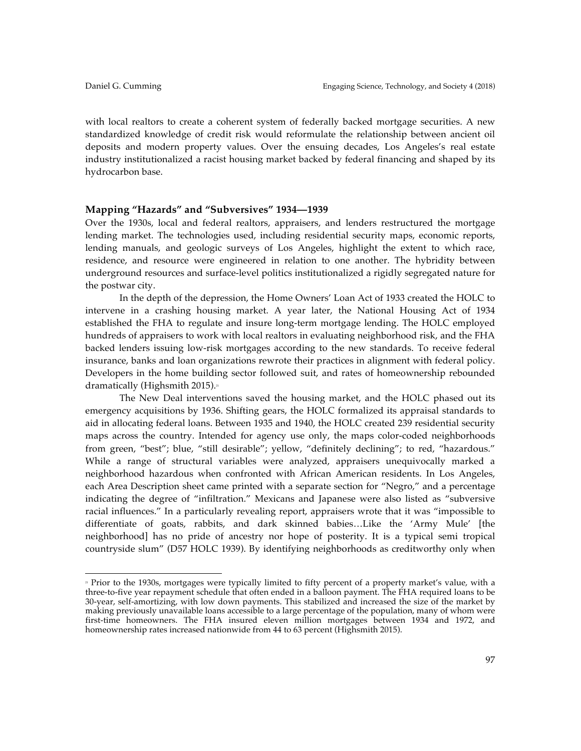with local realtors to create a coherent system of federally backed mortgage securities. A new standardized knowledge of credit risk would reformulate the relationship between ancient oil deposits and modern property values. Over the ensuing decades, Los Angeles's real estate industry institutionalized a racist housing market backed by federal financing and shaped by its hydrocarbon base.

# **Mapping "Hazards" and "Subversives" 1934—1939**

 

Over the 1930s, local and federal realtors, appraisers, and lenders restructured the mortgage lending market. The technologies used, including residential security maps, economic reports, lending manuals, and geologic surveys of Los Angeles, highlight the extent to which race, residence, and resource were engineered in relation to one another. The hybridity between underground resources and surface-level politics institutionalized a rigidly segregated nature for the postwar city.

In the depth of the depression, the Home Owners' Loan Act of 1933 created the HOLC to intervene in a crashing housing market. A year later, the National Housing Act of 1934 established the FHA to regulate and insure long-term mortgage lending. The HOLC employed hundreds of appraisers to work with local realtors in evaluating neighborhood risk, and the FHA backed lenders issuing low-risk mortgages according to the new standards. To receive federal insurance, banks and loan organizations rewrote their practices in alignment with federal policy. Developers in the home building sector followed suit, and rates of homeownership rebounded dramatically (Highsmith 2015).<sup>21</sup>

The New Deal interventions saved the housing market, and the HOLC phased out its emergency acquisitions by 1936. Shifting gears, the HOLC formalized its appraisal standards to aid in allocating federal loans. Between 1935 and 1940, the HOLC created 239 residential security maps across the country. Intended for agency use only, the maps color-coded neighborhoods from green, "best"; blue, "still desirable"; yellow, "definitely declining"; to red, "hazardous." While a range of structural variables were analyzed, appraisers unequivocally marked a neighborhood hazardous when confronted with African American residents. In Los Angeles, each Area Description sheet came printed with a separate section for "Negro," and a percentage indicating the degree of "infiltration." Mexicans and Japanese were also listed as "subversive racial influences." In a particularly revealing report, appraisers wrote that it was "impossible to differentiate of goats, rabbits, and dark skinned babies…Like the 'Army Mule' [the neighborhood] has no pride of ancestry nor hope of posterity. It is a typical semi tropical countryside slum" (D57 HOLC 1939). By identifying neighborhoods as creditworthy only when

<sup>&</sup>lt;sup>21</sup> Prior to the 1930s, mortgages were typically limited to fifty percent of a property market's value, with a three-to-five year repayment schedule that often ended in a balloon payment. The FHA required loans to be 30-year, self-amortizing, with low down payments. This stabilized and increased the size of the market by making previously unavailable loans accessible to a large percentage of the population, many of whom were first-time homeowners. The FHA insured eleven million mortgages between 1934 and 1972, and homeownership rates increased nationwide from 44 to 63 percent (Highsmith 2015).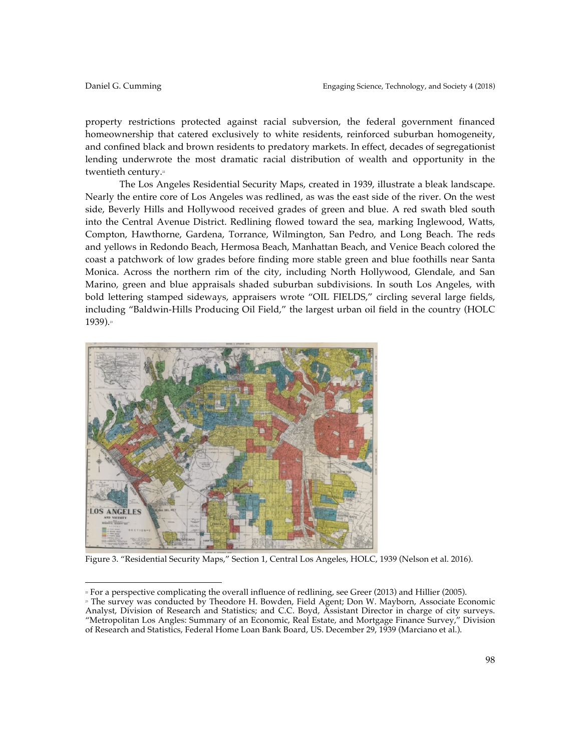property restrictions protected against racial subversion, the federal government financed homeownership that catered exclusively to white residents, reinforced suburban homogeneity, and confined black and brown residents to predatory markets. In effect, decades of segregationist lending underwrote the most dramatic racial distribution of wealth and opportunity in the twentieth century.<sup>21</sup>

The Los Angeles Residential Security Maps, created in 1939, illustrate a bleak landscape. Nearly the entire core of Los Angeles was redlined, as was the east side of the river. On the west side, Beverly Hills and Hollywood received grades of green and blue. A red swath bled south into the Central Avenue District. Redlining flowed toward the sea, marking Inglewood, Watts, Compton, Hawthorne, Gardena, Torrance, Wilmington, San Pedro, and Long Beach. The reds and yellows in Redondo Beach, Hermosa Beach, Manhattan Beach, and Venice Beach colored the coast a patchwork of low grades before finding more stable green and blue foothills near Santa Monica. Across the northern rim of the city, including North Hollywood, Glendale, and San Marino, green and blue appraisals shaded suburban subdivisions. In south Los Angeles, with bold lettering stamped sideways, appraisers wrote "OIL FIELDS," circling several large fields, including "Baldwin-Hills Producing Oil Field," the largest urban oil field in the country (HOLC 1939).<sup>23</sup>



 

Figure 3. "Residential Security Maps," Section 1, Central Los Angeles, HOLC, 1939 (Nelson et al. 2016).

<sup>22</sup> For a perspective complicating the overall influence of redlining, see Greer (2013) and Hillier (2005).

<sup>&</sup>lt;sup>2</sup> The survey was conducted by Theodore H. Bowden, Field Agent; Don W. Mayborn, Associate Economic Analyst, Division of Research and Statistics; and C.C. Boyd, Assistant Director in charge of city surveys. "Metropolitan Los Angles: Summary of an Economic, Real Estate, and Mortgage Finance Survey," Division of Research and Statistics, Federal Home Loan Bank Board, US. December 29, 1939 (Marciano et al.).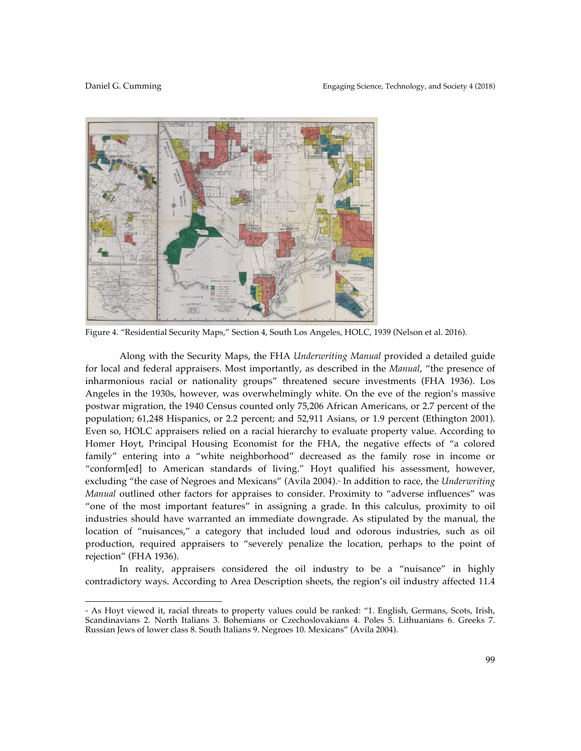

Figure 4. "Residential Security Maps," Section 4, South Los Angeles, HOLC, 1939 (Nelson et al. 2016).

Along with the Security Maps, the FHA *Underwriting Manual* provided a detailed guide for local and federal appraisers. Most importantly, as described in the *Manual*, "the presence of inharmonious racial or nationality groups" threatened secure investments (FHA 1936). Los Angeles in the 1930s, however, was overwhelmingly white. On the eve of the region's massive postwar migration, the 1940 Census counted only 75,206 African Americans, or 2.7 percent of the population; 61,248 Hispanics, or 2.2 percent; and 52,911 Asians, or 1.9 percent (Ethington 2001). Even so, HOLC appraisers relied on a racial hierarchy to evaluate property value. According to Homer Hoyt, Principal Housing Economist for the FHA, the negative effects of "a colored family" entering into a "white neighborhood" decreased as the family rose in income or "conform[ed] to American standards of living." Hoyt qualified his assessment, however, excluding "the case of Negroes and Mexicans" (Avila 2004).<sup>3</sup> In addition to race, the *Underwriting Manual* outlined other factors for appraises to consider. Proximity to "adverse influences" was "one of the most important features" in assigning a grade. In this calculus, proximity to oil industries should have warranted an immediate downgrade. As stipulated by the manual, the location of "nuisances," a category that included loud and odorous industries, such as oil production, required appraisers to "severely penalize the location, perhaps to the point of rejection" (FHA 1936).

In reality, appraisers considered the oil industry to be a "nuisance" in highly contradictory ways. According to Area Description sheets, the region's oil industry affected 11.4

<sup>&</sup>lt;sup>24</sup> As Hoyt viewed it, racial threats to property values could be ranked: "1. English, Germans, Scots, Irish, Scandinavians 2. North Italians 3. Bohemians or Czechoslovakians 4. Poles 5. Lithuanians 6. Greeks 7. Russian Jews of lower class 8. South Italians 9. Negroes 10. Mexicans" (Avila 2004).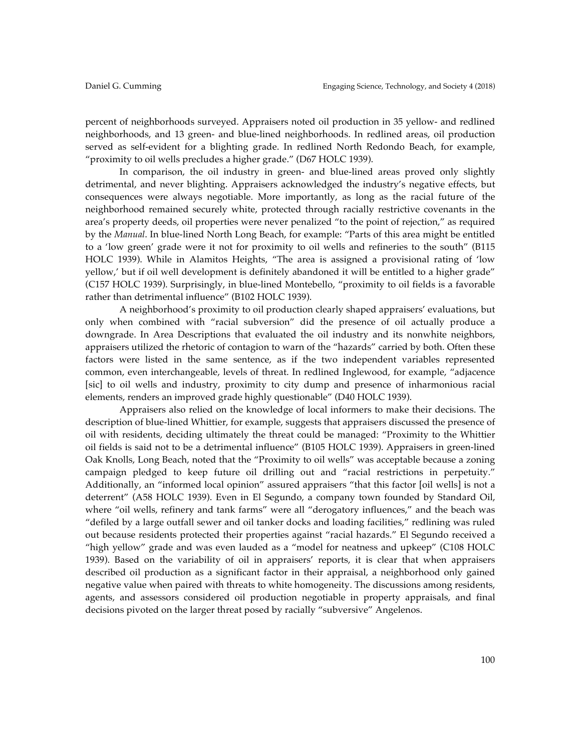percent of neighborhoods surveyed. Appraisers noted oil production in 35 yellow- and redlined neighborhoods, and 13 green- and blue-lined neighborhoods. In redlined areas, oil production served as self-evident for a blighting grade. In redlined North Redondo Beach, for example, "proximity to oil wells precludes a higher grade." (D67 HOLC 1939).

In comparison, the oil industry in green- and blue-lined areas proved only slightly detrimental, and never blighting. Appraisers acknowledged the industry's negative effects, but consequences were always negotiable. More importantly, as long as the racial future of the neighborhood remained securely white, protected through racially restrictive covenants in the area's property deeds, oil properties were never penalized "to the point of rejection," as required by the *Manual*. In blue-lined North Long Beach, for example: "Parts of this area might be entitled to a 'low green' grade were it not for proximity to oil wells and refineries to the south" (B115 HOLC 1939). While in Alamitos Heights, "The area is assigned a provisional rating of 'low yellow,' but if oil well development is definitely abandoned it will be entitled to a higher grade" (C157 HOLC 1939). Surprisingly, in blue-lined Montebello, "proximity to oil fields is a favorable rather than detrimental influence" (B102 HOLC 1939).

A neighborhood's proximity to oil production clearly shaped appraisers' evaluations, but only when combined with "racial subversion" did the presence of oil actually produce a downgrade. In Area Descriptions that evaluated the oil industry and its nonwhite neighbors, appraisers utilized the rhetoric of contagion to warn of the "hazards" carried by both. Often these factors were listed in the same sentence, as if the two independent variables represented common, even interchangeable, levels of threat. In redlined Inglewood, for example, "adjacence [sic] to oil wells and industry, proximity to city dump and presence of inharmonious racial elements, renders an improved grade highly questionable" (D40 HOLC 1939).

Appraisers also relied on the knowledge of local informers to make their decisions. The description of blue-lined Whittier, for example, suggests that appraisers discussed the presence of oil with residents, deciding ultimately the threat could be managed: "Proximity to the Whittier oil fields is said not to be a detrimental influence" (B105 HOLC 1939). Appraisers in green-lined Oak Knolls, Long Beach, noted that the "Proximity to oil wells" was acceptable because a zoning campaign pledged to keep future oil drilling out and "racial restrictions in perpetuity." Additionally, an "informed local opinion" assured appraisers "that this factor [oil wells] is not a deterrent" (A58 HOLC 1939). Even in El Segundo, a company town founded by Standard Oil, where "oil wells, refinery and tank farms" were all "derogatory influences," and the beach was "defiled by a large outfall sewer and oil tanker docks and loading facilities," redlining was ruled out because residents protected their properties against "racial hazards." El Segundo received a "high yellow" grade and was even lauded as a "model for neatness and upkeep" (C108 HOLC 1939). Based on the variability of oil in appraisers' reports, it is clear that when appraisers described oil production as a significant factor in their appraisal, a neighborhood only gained negative value when paired with threats to white homogeneity. The discussions among residents, agents, and assessors considered oil production negotiable in property appraisals, and final decisions pivoted on the larger threat posed by racially "subversive" Angelenos.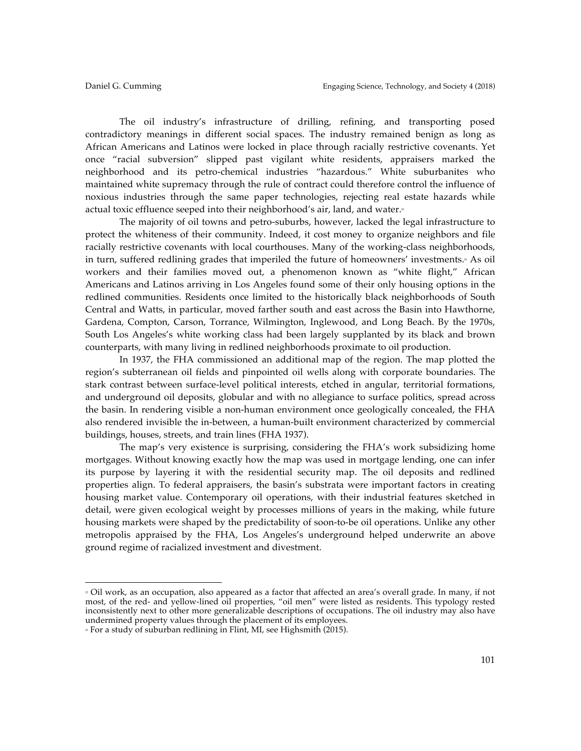The oil industry's infrastructure of drilling, refining, and transporting posed contradictory meanings in different social spaces. The industry remained benign as long as African Americans and Latinos were locked in place through racially restrictive covenants. Yet once "racial subversion" slipped past vigilant white residents, appraisers marked the neighborhood and its petro-chemical industries "hazardous." White suburbanites who maintained white supremacy through the rule of contract could therefore control the influence of noxious industries through the same paper technologies, rejecting real estate hazards while actual toxic effluence seeped into their neighborhood's air, land, and water.<sup>3</sup>

The majority of oil towns and petro-suburbs, however, lacked the legal infrastructure to protect the whiteness of their community. Indeed, it cost money to organize neighbors and file racially restrictive covenants with local courthouses. Many of the working-class neighborhoods, in turn, suffered redlining grades that imperiled the future of homeowners' investments.\* As oil workers and their families moved out, a phenomenon known as "white flight," African Americans and Latinos arriving in Los Angeles found some of their only housing options in the redlined communities. Residents once limited to the historically black neighborhoods of South Central and Watts, in particular, moved farther south and east across the Basin into Hawthorne, Gardena, Compton, Carson, Torrance, Wilmington, Inglewood, and Long Beach. By the 1970s, South Los Angeles's white working class had been largely supplanted by its black and brown counterparts, with many living in redlined neighborhoods proximate to oil production.

In 1937, the FHA commissioned an additional map of the region. The map plotted the region's subterranean oil fields and pinpointed oil wells along with corporate boundaries. The stark contrast between surface-level political interests, etched in angular, territorial formations, and underground oil deposits, globular and with no allegiance to surface politics, spread across the basin. In rendering visible a non-human environment once geologically concealed, the FHA also rendered invisible the in-between, a human-built environment characterized by commercial buildings, houses, streets, and train lines (FHA 1937).

The map's very existence is surprising, considering the FHA's work subsidizing home mortgages. Without knowing exactly how the map was used in mortgage lending, one can infer its purpose by layering it with the residential security map. The oil deposits and redlined properties align. To federal appraisers, the basin's substrata were important factors in creating housing market value. Contemporary oil operations, with their industrial features sketched in detail, were given ecological weight by processes millions of years in the making, while future housing markets were shaped by the predictability of soon-to-be oil operations. Unlike any other metropolis appraised by the FHA, Los Angeles's underground helped underwrite an above ground regime of racialized investment and divestment.

 

<sup>25</sup> Oil work, as an occupation, also appeared as a factor that affected an area's overall grade. In many, if not most, of the red- and yellow-lined oil properties, "oil men" were listed as residents. This typology rested inconsistently next to other more generalizable descriptions of occupations. The oil industry may also have undermined property values through the placement of its employees.

<sup>26</sup> For a study of suburban redlining in Flint, MI, see Highsmith (2015).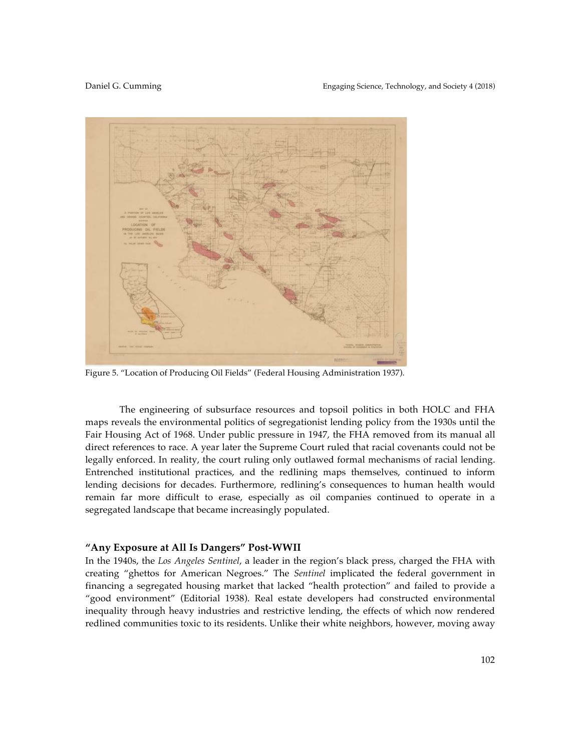

Figure 5. "Location of Producing Oil Fields" (Federal Housing Administration 1937).

The engineering of subsurface resources and topsoil politics in both HOLC and FHA maps reveals the environmental politics of segregationist lending policy from the 1930s until the Fair Housing Act of 1968. Under public pressure in 1947, the FHA removed from its manual all direct references to race. A year later the Supreme Court ruled that racial covenants could not be legally enforced. In reality, the court ruling only outlawed formal mechanisms of racial lending. Entrenched institutional practices, and the redlining maps themselves, continued to inform lending decisions for decades. Furthermore, redlining's consequences to human health would remain far more difficult to erase, especially as oil companies continued to operate in a segregated landscape that became increasingly populated.

## **"Any Exposure at All Is Dangers" Post-WWII**

In the 1940s, the *Los Angeles Sentinel*, a leader in the region's black press, charged the FHA with creating "ghettos for American Negroes." The *Sentinel* implicated the federal government in financing a segregated housing market that lacked "health protection" and failed to provide a "good environment" (Editorial 1938). Real estate developers had constructed environmental inequality through heavy industries and restrictive lending, the effects of which now rendered redlined communities toxic to its residents. Unlike their white neighbors, however, moving away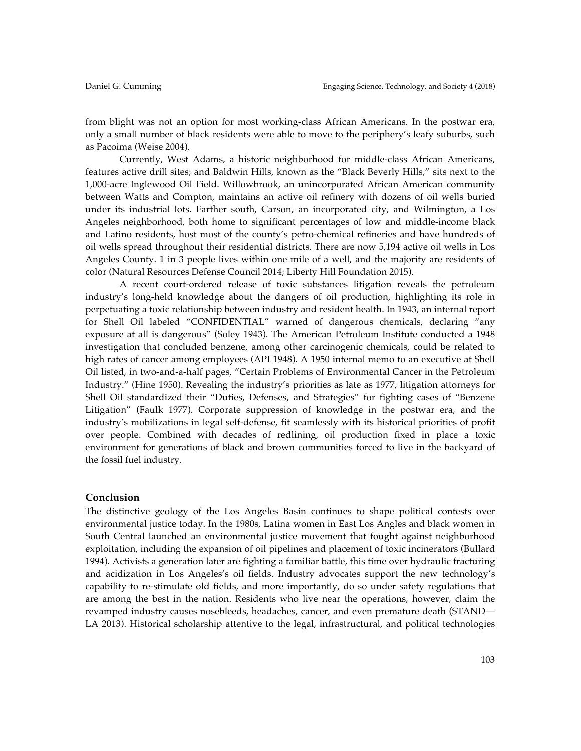from blight was not an option for most working-class African Americans. In the postwar era, only a small number of black residents were able to move to the periphery's leafy suburbs, such as Pacoima (Weise 2004).

Currently, West Adams, a historic neighborhood for middle-class African Americans, features active drill sites; and Baldwin Hills, known as the "Black Beverly Hills," sits next to the 1,000-acre Inglewood Oil Field. Willowbrook, an unincorporated African American community between Watts and Compton, maintains an active oil refinery with dozens of oil wells buried under its industrial lots. Farther south, Carson, an incorporated city, and Wilmington, a Los Angeles neighborhood, both home to significant percentages of low and middle-income black and Latino residents, host most of the county's petro-chemical refineries and have hundreds of oil wells spread throughout their residential districts. There are now 5,194 active oil wells in Los Angeles County. 1 in 3 people lives within one mile of a well, and the majority are residents of color (Natural Resources Defense Council 2014; Liberty Hill Foundation 2015).

A recent court-ordered release of toxic substances litigation reveals the petroleum industry's long-held knowledge about the dangers of oil production, highlighting its role in perpetuating a toxic relationship between industry and resident health. In 1943, an internal report for Shell Oil labeled "CONFIDENTIAL" warned of dangerous chemicals, declaring "any exposure at all is dangerous" (Soley 1943). The American Petroleum Institute conducted a 1948 investigation that concluded benzene, among other carcinogenic chemicals, could be related to high rates of cancer among employees (API 1948). A 1950 internal memo to an executive at Shell Oil listed, in two-and-a-half pages, "Certain Problems of Environmental Cancer in the Petroleum Industry." (Hine 1950). Revealing the industry's priorities as late as 1977, litigation attorneys for Shell Oil standardized their "Duties, Defenses, and Strategies" for fighting cases of "Benzene Litigation" (Faulk 1977). Corporate suppression of knowledge in the postwar era, and the industry's mobilizations in legal self-defense, fit seamlessly with its historical priorities of profit over people. Combined with decades of redlining, oil production fixed in place a toxic environment for generations of black and brown communities forced to live in the backyard of the fossil fuel industry.

#### **Conclusion**

The distinctive geology of the Los Angeles Basin continues to shape political contests over environmental justice today. In the 1980s, Latina women in East Los Angles and black women in South Central launched an environmental justice movement that fought against neighborhood exploitation, including the expansion of oil pipelines and placement of toxic incinerators (Bullard 1994). Activists a generation later are fighting a familiar battle, this time over hydraulic fracturing and acidization in Los Angeles's oil fields. Industry advocates support the new technology's capability to re-stimulate old fields, and more importantly, do so under safety regulations that are among the best in the nation. Residents who live near the operations, however, claim the revamped industry causes nosebleeds, headaches, cancer, and even premature death (STAND— LA 2013). Historical scholarship attentive to the legal, infrastructural, and political technologies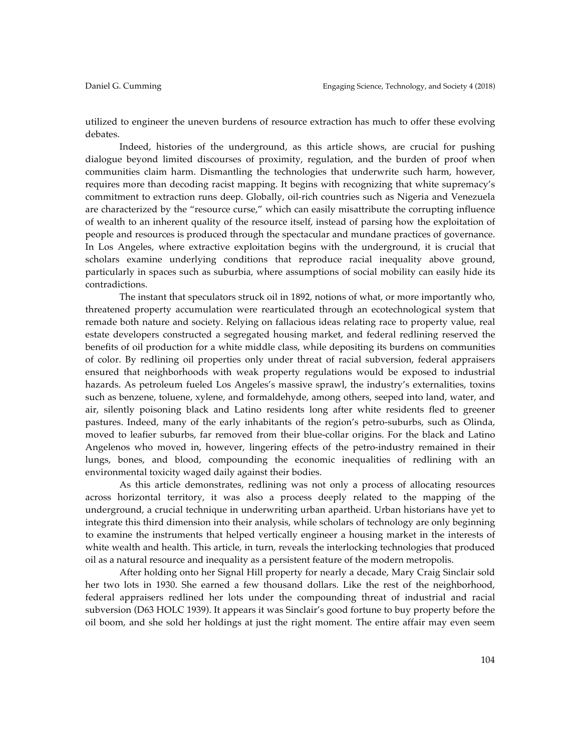utilized to engineer the uneven burdens of resource extraction has much to offer these evolving debates.

Indeed, histories of the underground, as this article shows, are crucial for pushing dialogue beyond limited discourses of proximity, regulation, and the burden of proof when communities claim harm. Dismantling the technologies that underwrite such harm, however, requires more than decoding racist mapping. It begins with recognizing that white supremacy's commitment to extraction runs deep. Globally, oil-rich countries such as Nigeria and Venezuela are characterized by the "resource curse," which can easily misattribute the corrupting influence of wealth to an inherent quality of the resource itself, instead of parsing how the exploitation of people and resources is produced through the spectacular and mundane practices of governance. In Los Angeles, where extractive exploitation begins with the underground, it is crucial that scholars examine underlying conditions that reproduce racial inequality above ground, particularly in spaces such as suburbia, where assumptions of social mobility can easily hide its contradictions.

The instant that speculators struck oil in 1892, notions of what, or more importantly who, threatened property accumulation were rearticulated through an ecotechnological system that remade both nature and society. Relying on fallacious ideas relating race to property value, real estate developers constructed a segregated housing market, and federal redlining reserved the benefits of oil production for a white middle class, while depositing its burdens on communities of color. By redlining oil properties only under threat of racial subversion, federal appraisers ensured that neighborhoods with weak property regulations would be exposed to industrial hazards. As petroleum fueled Los Angeles's massive sprawl, the industry's externalities, toxins such as benzene, toluene, xylene, and formaldehyde, among others, seeped into land, water, and air, silently poisoning black and Latino residents long after white residents fled to greener pastures. Indeed, many of the early inhabitants of the region's petro-suburbs, such as Olinda, moved to leafier suburbs, far removed from their blue-collar origins. For the black and Latino Angelenos who moved in, however, lingering effects of the petro-industry remained in their lungs, bones, and blood, compounding the economic inequalities of redlining with an environmental toxicity waged daily against their bodies.

As this article demonstrates, redlining was not only a process of allocating resources across horizontal territory, it was also a process deeply related to the mapping of the underground, a crucial technique in underwriting urban apartheid. Urban historians have yet to integrate this third dimension into their analysis, while scholars of technology are only beginning to examine the instruments that helped vertically engineer a housing market in the interests of white wealth and health. This article, in turn, reveals the interlocking technologies that produced oil as a natural resource and inequality as a persistent feature of the modern metropolis.

After holding onto her Signal Hill property for nearly a decade, Mary Craig Sinclair sold her two lots in 1930. She earned a few thousand dollars. Like the rest of the neighborhood, federal appraisers redlined her lots under the compounding threat of industrial and racial subversion (D63 HOLC 1939). It appears it was Sinclair's good fortune to buy property before the oil boom, and she sold her holdings at just the right moment. The entire affair may even seem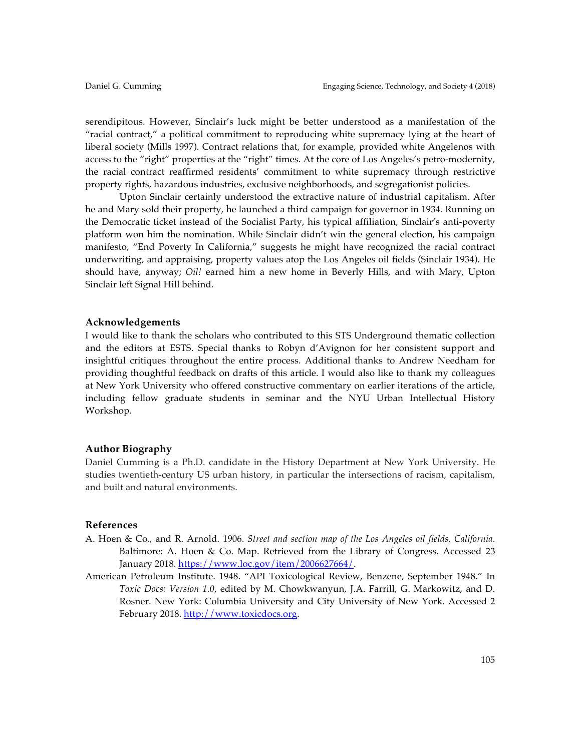serendipitous. However, Sinclair's luck might be better understood as a manifestation of the "racial contract," a political commitment to reproducing white supremacy lying at the heart of liberal society (Mills 1997). Contract relations that, for example, provided white Angelenos with access to the "right" properties at the "right" times. At the core of Los Angeles's petro-modernity, the racial contract reaffirmed residents' commitment to white supremacy through restrictive property rights, hazardous industries, exclusive neighborhoods, and segregationist policies.

Upton Sinclair certainly understood the extractive nature of industrial capitalism. After he and Mary sold their property, he launched a third campaign for governor in 1934. Running on the Democratic ticket instead of the Socialist Party, his typical affiliation, Sinclair's anti-poverty platform won him the nomination. While Sinclair didn't win the general election, his campaign manifesto, "End Poverty In California," suggests he might have recognized the racial contract underwriting, and appraising, property values atop the Los Angeles oil fields (Sinclair 1934). He should have, anyway; *Oil!* earned him a new home in Beverly Hills, and with Mary, Upton Sinclair left Signal Hill behind.

## **Acknowledgements**

I would like to thank the scholars who contributed to this STS Underground thematic collection and the editors at ESTS. Special thanks to Robyn d'Avignon for her consistent support and insightful critiques throughout the entire process. Additional thanks to Andrew Needham for providing thoughtful feedback on drafts of this article. I would also like to thank my colleagues at New York University who offered constructive commentary on earlier iterations of the article, including fellow graduate students in seminar and the NYU Urban Intellectual History Workshop.

# **Author Biography**

Daniel Cumming is a Ph.D. candidate in the History Department at New York University. He studies twentieth-century US urban history, in particular the intersections of racism, capitalism, and built and natural environments.

### **References**

- A. Hoen & Co., and R. Arnold. 1906. *Street and section map of the Los Angeles oil fields, California*. Baltimore: A. Hoen & Co. Map. Retrieved from the Library of Congress. Accessed 23 January 2018. https://www.loc.gov/item/2006627664/.
- American Petroleum Institute. 1948. "API Toxicological Review, Benzene, September 1948." In *Toxic Docs: Version 1.0*, edited by M. Chowkwanyun, J.A. Farrill, G. Markowitz, and D. Rosner. New York: Columbia University and City University of New York. Accessed 2 February 2018. http://www.toxicdocs.org.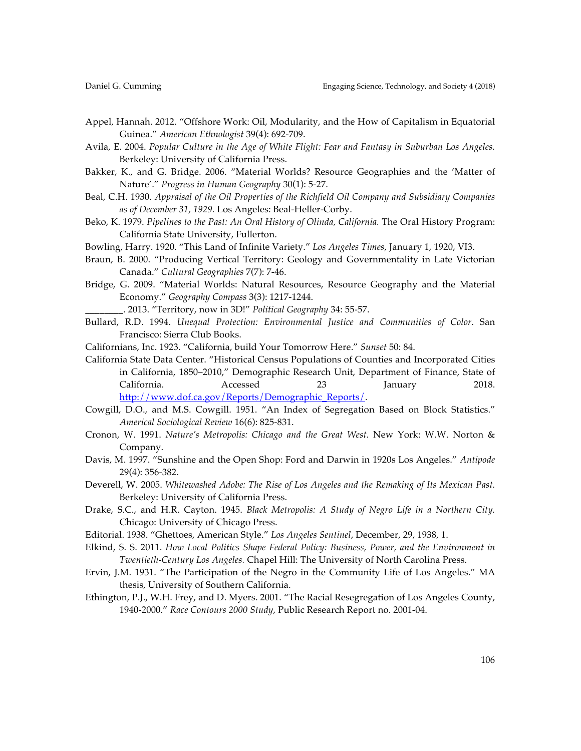- Appel, Hannah. 2012. "Offshore Work: Oil, Modularity, and the How of Capitalism in Equatorial Guinea." *American Ethnologist* 39(4): 692-709.
- Avila, E. 2004. *Popular Culture in the Age of White Flight: Fear and Fantasy in Suburban Los Angeles.* Berkeley: University of California Press.
- Bakker, K., and G. Bridge. 2006. "Material Worlds? Resource Geographies and the 'Matter of Nature'." *Progress in Human Geography* 30(1): 5-27.
- Beal, C.H. 1930. *Appraisal of the Oil Properties of the Richfield Oil Company and Subsidiary Companies as of December 31, 1929.* Los Angeles: Beal-Heller-Corby.
- Beko, K. 1979. *Pipelines to the Past: An Oral History of Olinda, California.* The Oral History Program: California State University, Fullerton.
- Bowling, Harry. 1920. "This Land of Infinite Variety." *Los Angeles Times*, January 1, 1920, VI3.
- Braun, B. 2000. "Producing Vertical Territory: Geology and Governmentality in Late Victorian Canada." *Cultural Geographies* 7(7): 7-46.
- Bridge, G. 2009. "Material Worlds: Natural Resources, Resource Geography and the Material Economy." *Geography Compass* 3(3): 1217-1244.
	- \_\_\_\_\_\_\_\_. 2013. "Territory, now in 3D!" *Political Geography* 34: 55-57.
- Bullard, R.D. 1994. *Unequal Protection: Environmental Justice and Communities of Color*. San Francisco: Sierra Club Books.
- Californians, Inc. 1923. "California, build Your Tomorrow Here." *Sunset* 50: 84.
- California State Data Center. "Historical Census Populations of Counties and Incorporated Cities in California, 1850–2010," Demographic Research Unit, Department of Finance, State of California. Accessed 23 January 2018. http://www.dof.ca.gov/Reports/Demographic\_Reports/.
- Cowgill, D.O., and M.S. Cowgill. 1951. "An Index of Segregation Based on Block Statistics." *Americal Sociological Review* 16(6): 825-831.
- Cronon, W. 1991. *Nature's Metropolis: Chicago and the Great West.* New York: W.W. Norton & Company.
- Davis, M. 1997. "Sunshine and the Open Shop: Ford and Darwin in 1920s Los Angeles." *Antipode* 29(4): 356-382.
- Deverell, W. 2005. *Whitewashed Adobe: The Rise of Los Angeles and the Remaking of Its Mexican Past.*  Berkeley: University of California Press.
- Drake, S.C., and H.R. Cayton. 1945. *Black Metropolis: A Study of Negro Life in a Northern City.* Chicago: University of Chicago Press.
- Editorial. 1938. "Ghettoes, American Style." *Los Angeles Sentinel*, December, 29, 1938, 1.
- Elkind, S. S. 2011. *How Local Politics Shape Federal Policy: Business, Power, and the Environment in Twentieth-Century Los Angeles.* Chapel Hill: The University of North Carolina Press.
- Ervin, J.M. 1931. "The Participation of the Negro in the Community Life of Los Angeles." MA thesis, University of Southern California.
- Ethington, P.J., W.H. Frey, and D. Myers. 2001. "The Racial Resegregation of Los Angeles County, 1940-2000." *Race Contours 2000 Study*, Public Research Report no. 2001-04.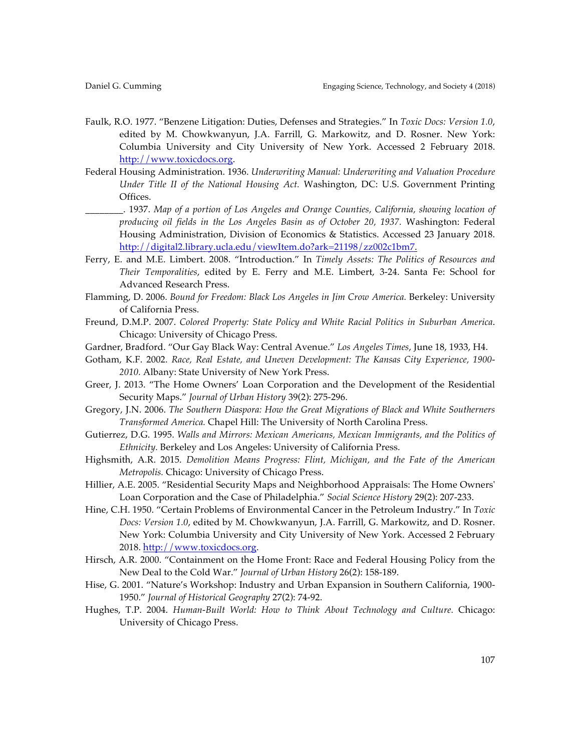- Faulk, R.O. 1977. "Benzene Litigation: Duties, Defenses and Strategies." In *Toxic Docs: Version 1.0*, edited by M. Chowkwanyun, J.A. Farrill, G. Markowitz, and D. Rosner. New York: Columbia University and City University of New York. Accessed 2 February 2018. http://www.toxicdocs.org.
- Federal Housing Administration. 1936. *Underwriting Manual: Underwriting and Valuation Procedure Under Title II of the National Housing Act.* Washington, DC: U.S. Government Printing Offices.
	- \_\_\_\_\_\_\_\_. 1937. *Map of a portion of Los Angeles and Orange Counties, California, showing location of producing oil fields in the Los Angeles Basin as of October 20, 1937.* Washington: Federal Housing Administration, Division of Economics & Statistics. Accessed 23 January 2018. http://digital2.library.ucla.edu/viewItem.do?ark=21198/zz002c1bm7.
- Ferry, E. and M.E. Limbert. 2008. "Introduction." In *Timely Assets: The Politics of Resources and Their Temporalities*, edited by E. Ferry and M.E. Limbert, 3-24. Santa Fe: School for Advanced Research Press.
- Flamming, D. 2006. *Bound for Freedom: Black Los Angeles in Jim Crow America.* Berkeley: University of California Press.
- Freund, D.M.P. 2007. *Colored Property: State Policy and White Racial Politics in Suburban America*. Chicago: University of Chicago Press.
- Gardner, Bradford. "Our Gay Black Way: Central Avenue." *Los Angeles Times*, June 18, 1933, H4.
- Gotham, K.F. 2002. *Race, Real Estate, and Uneven Development: The Kansas City Experience, 1900- 2010.* Albany: State University of New York Press.
- Greer, J. 2013. "The Home Owners' Loan Corporation and the Development of the Residential Security Maps." *Journal of Urban History* 39(2): 275-296.
- Gregory, J.N. 2006. *The Southern Diaspora: How the Great Migrations of Black and White Southerners Transformed America.* Chapel Hill: The University of North Carolina Press.
- Gutierrez, D.G. 1995. *Walls and Mirrors: Mexican Americans, Mexican Immigrants, and the Politics of Ethnicity.* Berkeley and Los Angeles: University of California Press.
- Highsmith, A.R. 2015. *Demolition Means Progress: Flint, Michigan, and the Fate of the American Metropolis.* Chicago: University of Chicago Press.
- Hillier, A.E. 2005. "Residential Security Maps and Neighborhood Appraisals: The Home Owners' Loan Corporation and the Case of Philadelphia." *Social Science History* 29(2): 207-233.
- Hine, C.H. 1950. "Certain Problems of Environmental Cancer in the Petroleum Industry." In *Toxic Docs: Version 1.0*, edited by M. Chowkwanyun, J.A. Farrill, G. Markowitz, and D. Rosner. New York: Columbia University and City University of New York. Accessed 2 February 2018. http://www.toxicdocs.org.
- Hirsch, A.R. 2000. "Containment on the Home Front: Race and Federal Housing Policy from the New Deal to the Cold War." *Journal of Urban History* 26(2): 158-189.
- Hise, G. 2001. "Nature's Workshop: Industry and Urban Expansion in Southern California, 1900- 1950." *Journal of Historical Geography* 27(2): 74-92.
- Hughes, T.P. 2004. *Human-Built World: How to Think About Technology and Culture.* Chicago: University of Chicago Press.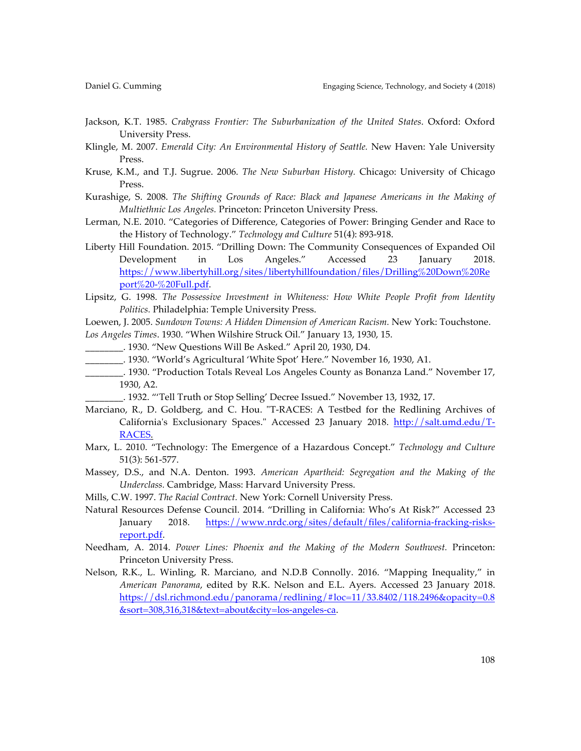- Jackson, K.T. 1985. *Crabgrass Frontier: The Suburbanization of the United States*. Oxford: Oxford University Press.
- Klingle, M. 2007. *Emerald City: An Environmental History of Seattle.* New Haven: Yale University Press.
- Kruse, K.M., and T.J. Sugrue. 2006. *The New Suburban History.* Chicago: University of Chicago Press.
- Kurashige, S. 2008. *The Shifting Grounds of Race: Black and Japanese Americans in the Making of Multiethnic Los Angeles.* Princeton: Princeton University Press.
- Lerman, N.E. 2010. "Categories of Difference, Categories of Power: Bringing Gender and Race to the History of Technology." *Technology and Culture* 51(4): 893-918.
- Liberty Hill Foundation. 2015. "Drilling Down: The Community Consequences of Expanded Oil Development in Los Angeles." Accessed 23 January 2018. https://www.libertyhill.org/sites/libertyhillfoundation/files/Drilling%20Down%20Re port%20-%20Full.pdf.
- Lipsitz, G. 1998. *The Possessive Investment in Whiteness: How White People Profit from Identity Politics.* Philadelphia: Temple University Press.

Loewen, J. 2005. *Sundown Towns: A Hidden Dimension of American Racism.* New York: Touchstone. *Los Angeles Times*. 1930. "When Wilshire Struck Oil." January 13, 1930, 15.

- \_\_\_\_\_\_\_\_. 1930. "New Questions Will Be Asked." April 20, 1930, D4.
- \_\_\_\_\_\_\_\_. 1930. "World's Agricultural 'White Spot' Here." November 16, 1930, A1.
- \_\_\_\_\_\_\_\_. 1930. "Production Totals Reveal Los Angeles County as Bonanza Land." November 17, 1930, A2.
	- \_\_\_\_\_\_\_\_. 1932. "'Tell Truth or Stop Selling' Decree Issued." November 13, 1932, 17.
- Marciano, R., D. Goldberg, and C. Hou. "T-RACES: A Testbed for the Redlining Archives of California's Exclusionary Spaces." Accessed 23 January 2018. http://salt.umd.edu/T-RACES.
- Marx, L. 2010. "Technology: The Emergence of a Hazardous Concept." *Technology and Culture* 51(3): 561-577.
- Massey, D.S., and N.A. Denton. 1993. *American Apartheid: Segregation and the Making of the Underclass.* Cambridge, Mass: Harvard University Press.
- Mills, C.W. 1997. *The Racial Contract.* New York: Cornell University Press.
- Natural Resources Defense Council. 2014. "Drilling in California: Who's At Risk?" Accessed 23 January 2018. https://www.nrdc.org/sites/default/files/california-fracking-risksreport.pdf.
- Needham, A. 2014. *Power Lines: Phoenix and the Making of the Modern Southwest.* Princeton: Princeton University Press.
- Nelson, R.K., L. Winling, R. Marciano, and N.D.B Connolly. 2016. "Mapping Inequality," in *American Panorama*, edited by R.K. Nelson and E.L. Ayers. Accessed 23 January 2018. https://dsl.richmond.edu/panorama/redlining/#loc=11/33.8402/118.2496&opacity=0.8 &sort=308,316,318&text=about&city=los-angeles-ca.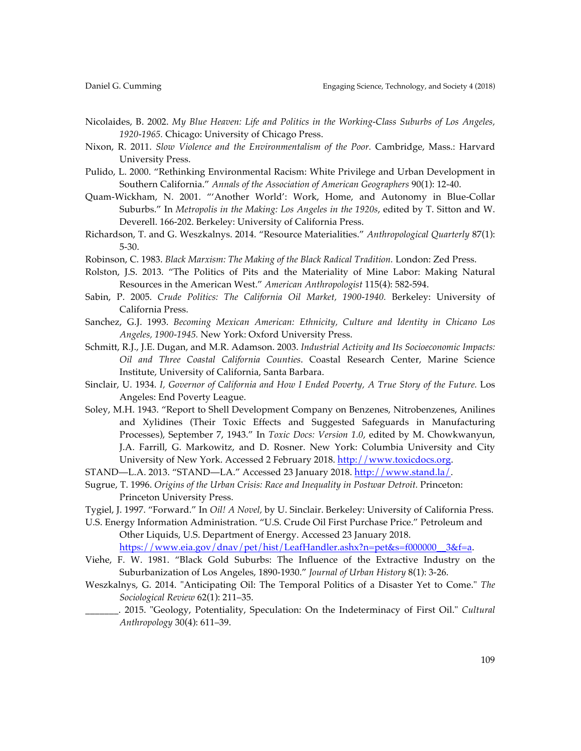- Nicolaides, B. 2002. *My Blue Heaven: Life and Politics in the Working-Class Suburbs of Los Angeles, 1920-1965.* Chicago: University of Chicago Press.
- Nixon, R. 2011. *Slow Violence and the Environmentalism of the Poor.* Cambridge, Mass.: Harvard University Press.
- Pulido, L. 2000. "Rethinking Environmental Racism: White Privilege and Urban Development in Southern California." *Annals of the Association of American Geographers* 90(1): 12-40.
- Quam-Wickham, N. 2001. "'Another World': Work, Home, and Autonomy in Blue-Collar Suburbs." In *Metropolis in the Making: Los Angeles in the 1920s*, edited by T. Sitton and W. Deverell. 166-202. Berkeley: University of California Press.
- Richardson, T. and G. Weszkalnys. 2014. "Resource Materialities." *Anthropological Quarterly* 87(1): 5-30.
- Robinson, C. 1983. *Black Marxism: The Making of the Black Radical Tradition.* London: Zed Press.
- Rolston, J.S. 2013. "The Politics of Pits and the Materiality of Mine Labor: Making Natural Resources in the American West." *American Anthropologist* 115(4): 582-594.
- Sabin, P. 2005. *Crude Politics: The California Oil Market, 1900-1940.* Berkeley: University of California Press.
- Sanchez, G.J. 1993. *Becoming Mexican American: Ethnicity, Culture and Identity in Chicano Los Angeles, 1900-1945.* New York: Oxford University Press.
- Schmitt, R.J., J.E. Dugan, and M.R. Adamson. 2003. *Industrial Activity and Its Socioeconomic Impacts: Oil and Three Coastal California Counties*. Coastal Research Center, Marine Science Institute, University of California, Santa Barbara.
- Sinclair, U. 1934. *I, Governor of California and How I Ended Poverty, A True Story of the Future.* Los Angeles: End Poverty League.
- Soley, M.H. 1943. "Report to Shell Development Company on Benzenes, Nitrobenzenes, Anilines and Xylidines (Their Toxic Effects and Suggested Safeguards in Manufacturing Processes), September 7, 1943." In *Toxic Docs: Version 1.0*, edited by M. Chowkwanyun, J.A. Farrill, G. Markowitz, and D. Rosner. New York: Columbia University and City University of New York. Accessed 2 February 2018. http://www.toxicdocs.org.
- STAND—L.A. 2013. "STAND—LA." Accessed 23 January 2018. http://www.stand.la/.
- Sugrue, T. 1996. *Origins of the Urban Crisis: Race and Inequality in Postwar Detroit.* Princeton: Princeton University Press.
- Tygiel, J. 1997. "Forward." In *Oil! A Novel,* by U. Sinclair. Berkeley: University of California Press.
- U.S. Energy Information Administration. "U.S. Crude Oil First Purchase Price." Petroleum and Other Liquids, U.S. Department of Energy. Accessed 23 January 2018. https://www.eia.gov/dnav/pet/hist/LeafHandler.ashx?n=pet&s=f000000\_\_3&f=a.
- Viehe, F. W. 1981. "Black Gold Suburbs: The Influence of the Extractive Industry on the Suburbanization of Los Angeles, 1890-1930." *Journal of Urban History* 8(1): 3-26.
- Weszkalnys, G. 2014. "Anticipating Oil: The Temporal Politics of a Disaster Yet to Come." *The Sociological Review* 62(1): 211–35.
- \_\_\_\_\_\_\_. 2015. "Geology, Potentiality, Speculation: On the Indeterminacy of First Oil." *Cultural Anthropology* 30(4): 611–39.